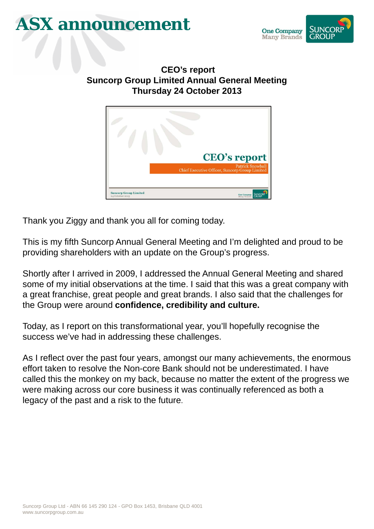## **ASX announcement**



**CEO's report Suncorp Group Limited Annual General Meeting Thursday 24 October 2013**



Thank you Ziggy and thank you all for coming today.

This is my fifth Suncorp Annual General Meeting and I'm delighted and proud to be providing shareholders with an update on the Group's progress.

Shortly after I arrived in 2009, I addressed the Annual General Meeting and shared some of my initial observations at the time. I said that this was a great company with a great franchise, great people and great brands. I also said that the challenges for the Group were around **confidence, credibility and culture.** 

Today, as I report on this transformational year, you'll hopefully recognise the success we've had in addressing these challenges.

As I reflect over the past four years, amongst our many achievements, the enormous effort taken to resolve the Non-core Bank should not be underestimated. I have called this the monkey on my back, because no matter the extent of the progress we were making across our core business it was continually referenced as both a legacy of the past and a risk to the future.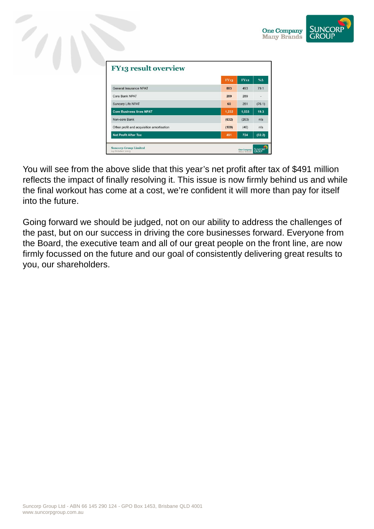

% $\Delta$ 

 $79.1$ 

ù.

 $19.3$ 

 $\mathsf{n}/\mathsf{a}$ 

 $n/a$ 



You will see from the above slide that this year's net profit after tax of \$491 million reflects the impact of finally resolving it. This issue is now firmly behind us and while the final workout has come at a cost, we're confident it will more than pay for itself into the future.

Going forward we should be judged, not on our ability to address the challenges of the past, but on our success in driving the core businesses forward. Everyone from the Board, the executive team and all of our great people on the front line, are now firmly focussed on the future and our goal of consistently delivering great results to you, our shareholders.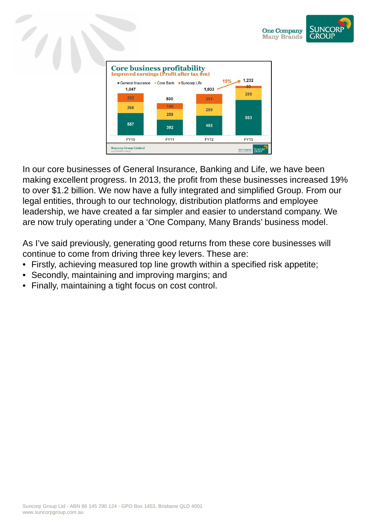





In our core businesses of General Insurance, Banking and Life, we have been making excellent progress. In 2013, the profit from these businesses increased 19% to over \$1.2 billion. We now have a fully integrated and simplified Group. From our legal entities, through to our technology, distribution platforms and employee leadership, we have created a far simpler and easier to understand company. We are now truly operating under a 'One Company, Many Brands' business model.

As I've said previously, generating good returns from these core businesses will continue to come from driving three key levers. These are:

- Firstly, achieving measured top line growth within a specified risk appetite;
- Secondly, maintaining and improving margins; and
- Finally, maintaining a tight focus on cost control.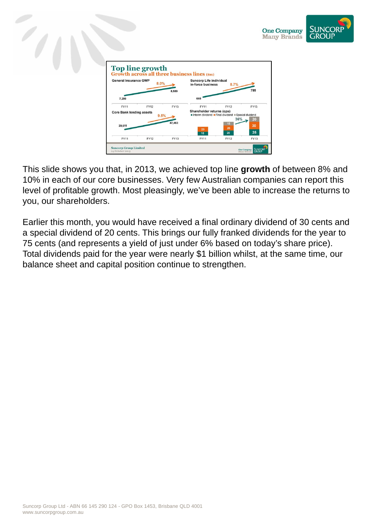

| <b>General Insurance GWP</b><br>8.0% |             |             | <b>Suncorp Life individual</b><br>in-force business<br>8.7% |                                                                |                   |
|--------------------------------------|-------------|-------------|-------------------------------------------------------------|----------------------------------------------------------------|-------------------|
| 7,280                                |             | 8,589       | 669                                                         |                                                                | 785               |
| <b>FY11</b>                          | <b>FY12</b> | <b>FY13</b> | <b>FY11</b>                                                 | <b>FY12</b>                                                    | <b>FY13</b>       |
| <b>Core Bank lending assets</b>      | 9.5%        |             | Shareholder returns (cps)                                   | Interim dividend <b>Final dividend</b> Special dividend<br>36% | 20                |
| 39,611                               |             | 47,463      | 20                                                          | 15<br>20                                                       | 30                |
| <b>FY11</b>                          | <b>FY12</b> | <b>FY13</b> | 15<br><b>FY11</b>                                           | 20<br><b>FY12</b>                                              | 25<br><b>FY13</b> |

This slide shows you that, in 2013, we achieved top line **growth** of between 8% and 10% in each of our core businesses. Very few Australian companies can report this level of profitable growth. Most pleasingly, we've been able to increase the returns to you, our shareholders.

Earlier this month, you would have received a final ordinary dividend of 30 cents and a special dividend of 20 cents. This brings our fully franked dividends for the year to 75 cents (and represents a yield of just under 6% based on today's share price). Total dividends paid for the year were nearly \$1 billion whilst, at the same time, our balance sheet and capital position continue to strengthen.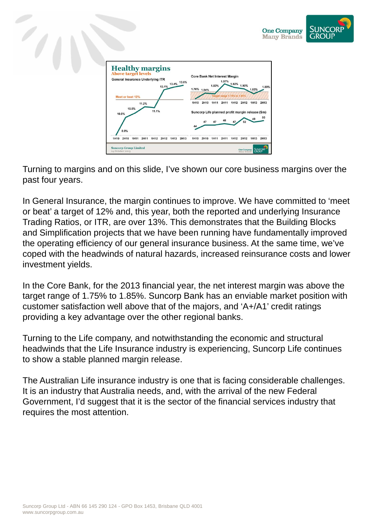



Turning to margins and on this slide, I've shown our core business margins over the past four years.

In General Insurance, the margin continues to improve. We have committed to 'meet or beat' a target of 12% and, this year, both the reported and underlying Insurance Trading Ratios, or ITR, are over 13%. This demonstrates that the Building Blocks and Simplification projects that we have been running have fundamentally improved the operating efficiency of our general insurance business. At the same time, we've coped with the headwinds of natural hazards, increased reinsurance costs and lower investment yields.

In the Core Bank, for the 2013 financial year, the net interest margin was above the target range of 1.75% to 1.85%. Suncorp Bank has an enviable market position with customer satisfaction well above that of the majors, and 'A+/A1' credit ratings providing a key advantage over the other regional banks.

Turning to the Life company, and notwithstanding the economic and structural headwinds that the Life Insurance industry is experiencing, Suncorp Life continues to show a stable planned margin release.

The Australian Life insurance industry is one that is facing considerable challenges. It is an industry that Australia needs, and, with the arrival of the new Federal Government, I'd suggest that it is the sector of the financial services industry that requires the most attention.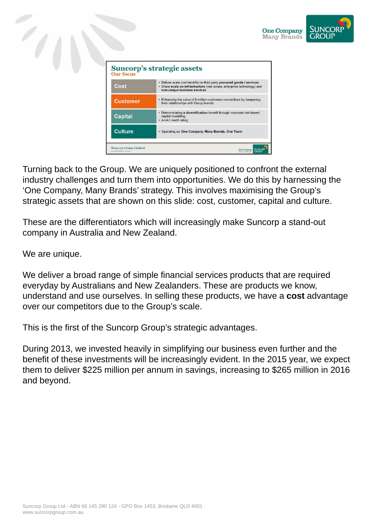



Turning back to the Group. We are uniquely positioned to confront the external industry challenges and turn them into opportunities. We do this by harnessing the 'One Company, Many Brands' strategy. This involves maximising the Group's strategic assets that are shown on this slide: cost, customer, capital and culture.

These are the differentiators which will increasingly make Suncorp a stand-out company in Australia and New Zealand.

We are unique.

We deliver a broad range of simple financial services products that are required everyday by Australians and New Zealanders. These are products we know, understand and use ourselves. In selling these products, we have a **cost** advantage over our competitors due to the Group's scale.

This is the first of the Suncorp Group's strategic advantages.

During 2013, we invested heavily in simplifying our business even further and the benefit of these investments will be increasingly evident. In the 2015 year, we expect them to deliver \$225 million per annum in savings, increasing to \$265 million in 2016 and beyond.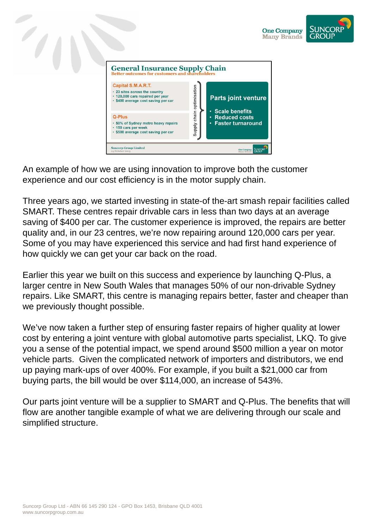



An example of how we are using innovation to improve both the customer experience and our cost efficiency is in the motor supply chain.

Three years ago, we started investing in state-of the-art smash repair facilities called SMART. These centres repair drivable cars in less than two days at an average saving of \$400 per car. The customer experience is improved, the repairs are better quality and, in our 23 centres, we're now repairing around 120,000 cars per year. Some of you may have experienced this service and had first hand experience of how quickly we can get your car back on the road.

Earlier this year we built on this success and experience by launching Q-Plus, a larger centre in New South Wales that manages 50% of our non-drivable Sydney repairs. Like SMART, this centre is managing repairs better, faster and cheaper than we previously thought possible.

We've now taken a further step of ensuring faster repairs of higher quality at lower cost by entering a joint venture with global automotive parts specialist, LKQ. To give you a sense of the potential impact, we spend around \$500 million a year on motor vehicle parts. Given the complicated network of importers and distributors, we end up paying mark-ups of over 400%. For example, if you built a \$21,000 car from buying parts, the bill would be over \$114,000, an increase of 543%.

Our parts joint venture will be a supplier to SMART and Q-Plus. The benefits that will flow are another tangible example of what we are delivering through our scale and simplified structure.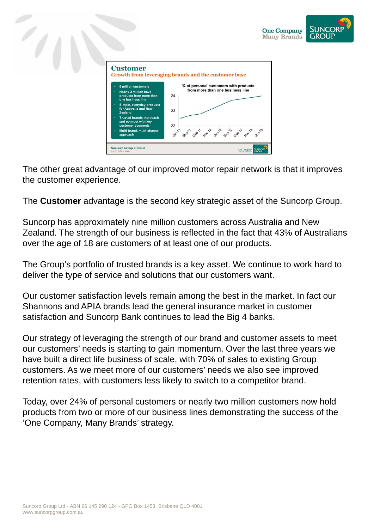

The other great advantage of our improved motor repair network is that it improves the customer experience.

The **Customer** advantage is the second key strategic asset of the Suncorp Group.

Suncorp has approximately nine million customers across Australia and New Zealand. The strength of our business is reflected in the fact that 43% of Australians over the age of 18 are customers of at least one of our products.

The Group's portfolio of trusted brands is a key asset. We continue to work hard to deliver the type of service and solutions that our customers want.

Our customer satisfaction levels remain among the best in the market. In fact our Shannons and APIA brands lead the general insurance market in customer satisfaction and Suncorp Bank continues to lead the Big 4 banks.

Our strategy of leveraging the strength of our brand and customer assets to meet our customers' needs is starting to gain momentum. Over the last three years we have built a direct life business of scale, with 70% of sales to existing Group customers. As we meet more of our customers' needs we also see improved retention rates, with customers less likely to switch to a competitor brand.

Today, over 24% of personal customers or nearly two million customers now hold products from two or more of our business lines demonstrating the success of the 'One Company, Many Brands' strategy.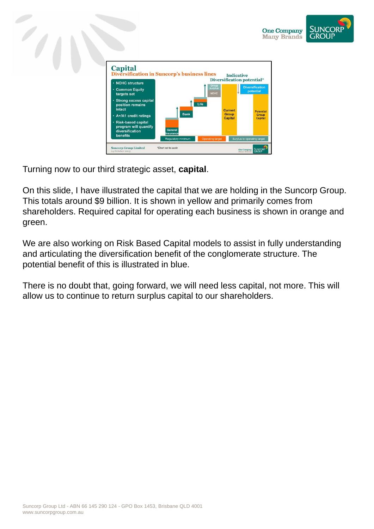

Turning now to our third strategic asset, **capital**.

On this slide, I have illustrated the capital that we are holding in the Suncorp Group. This totals around \$9 billion. It is shown in yellow and primarily comes from shareholders. Required capital for operating each business is shown in orange and green.

**SUNCORF** 

We are also working on Risk Based Capital models to assist in fully understanding and articulating the diversification benefit of the conglomerate structure. The potential benefit of this is illustrated in blue.

There is no doubt that, going forward, we will need less capital, not more. This will allow us to continue to return surplus capital to our shareholders.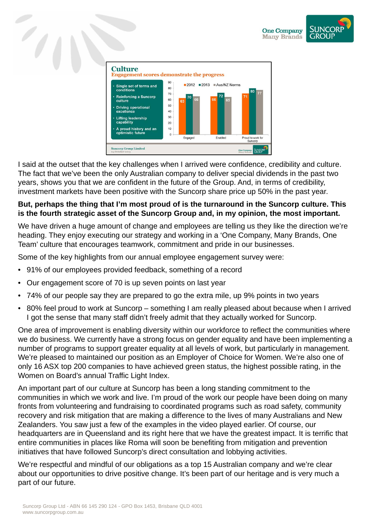





I said at the outset that the key challenges when I arrived were confidence, credibility and culture. The fact that we've been the only Australian company to deliver special dividends in the past two years, shows you that we are confident in the future of the Group. And, in terms of credibility, investment markets have been positive with the Suncorp share price up 50% in the past year.

## **But, perhaps the thing that I'm most proud of is the turnaround in the Suncorp culture. This is the fourth strategic asset of the Suncorp Group and, in my opinion, the most important.**

We have driven a huge amount of change and employees are telling us they like the direction we're heading. They enjoy executing our strategy and working in a 'One Company, Many Brands, One Team' culture that encourages teamwork, commitment and pride in our businesses.

Some of the key highlights from our annual employee engagement survey were:

- 91% of our employees provided feedback, something of a record
- Our engagement score of 70 is up seven points on last year
- 74% of our people say they are prepared to go the extra mile, up 9% points in two years
- 80% feel proud to work at Suncorp something I am really pleased about because when I arrived I got the sense that many staff didn't freely admit that they actually worked for Suncorp.

One area of improvement is enabling diversity within our workforce to reflect the communities where we do business. We currently have a strong focus on gender equality and have been implementing a number of programs to support greater equality at all levels of work, but particularly in management. We're pleased to maintained our position as an Employer of Choice for Women. We're also one of only 16 ASX top 200 companies to have achieved green status, the highest possible rating, in the Women on Board's annual Traffic Light Index.

An important part of our culture at Suncorp has been a long standing commitment to the communities in which we work and live. I'm proud of the work our people have been doing on many fronts from volunteering and fundraising to coordinated programs such as road safety, community recovery and risk mitigation that are making a difference to the lives of many Australians and New Zealanders. You saw just a few of the examples in the video played earlier. Of course, our headquarters are in Queensland and its right here that we have the greatest impact. It is terrific that entire communities in places like Roma will soon be benefiting from mitigation and prevention initiatives that have followed Suncorp's direct consultation and lobbying activities.

We're respectful and mindful of our obligations as a top 15 Australian company and we're clear about our opportunities to drive positive change. It's been part of our heritage and is very much a part of our future.